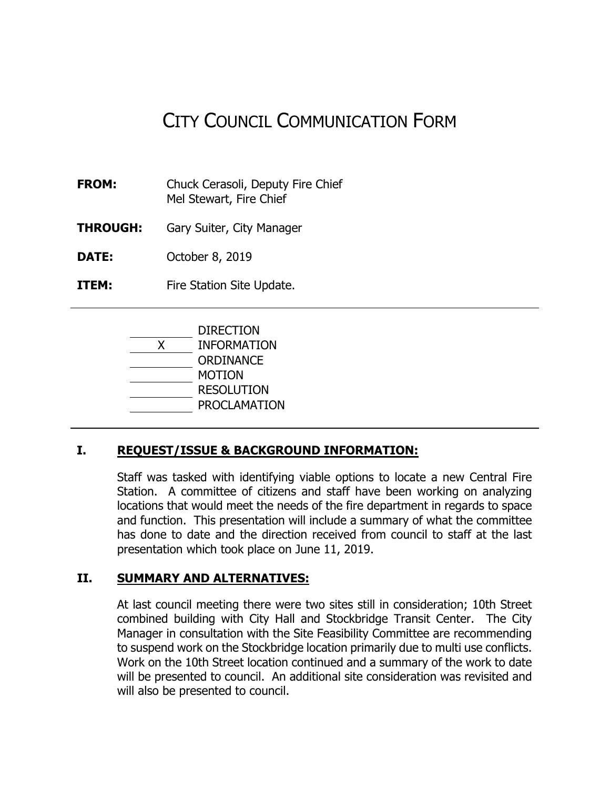# CITY COUNCIL COMMUNICATION FORM

- **FROM:** Chuck Cerasoli, Deputy Fire Chief Mel Stewart, Fire Chief
- **THROUGH:** Gary Suiter, City Manager

**DATE:** October 8, 2019

**ITEM:** Fire Station Site Update.



# **I. REQUEST/ISSUE & BACKGROUND INFORMATION:**

Staff was tasked with identifying viable options to locate a new Central Fire Station. A committee of citizens and staff have been working on analyzing locations that would meet the needs of the fire department in regards to space and function. This presentation will include a summary of what the committee has done to date and the direction received from council to staff at the last presentation which took place on June 11, 2019.

#### **II. SUMMARY AND ALTERNATIVES:**

At last council meeting there were two sites still in consideration; 10th Street combined building with City Hall and Stockbridge Transit Center. The City Manager in consultation with the Site Feasibility Committee are recommending to suspend work on the Stockbridge location primarily due to multi use conflicts. Work on the 10th Street location continued and a summary of the work to date will be presented to council. An additional site consideration was revisited and will also be presented to council.